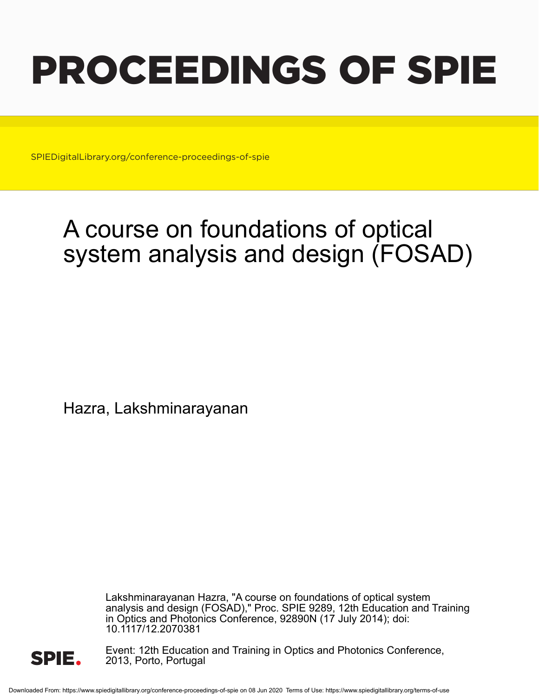# PROCEEDINGS OF SPIE

SPIEDigitalLibrary.org/conference-proceedings-of-spie

## A course on foundations of optical system analysis and design (FOSAD)

Hazra, Lakshminarayanan

Lakshminarayanan Hazra, "A course on foundations of optical system analysis and design (FOSAD)," Proc. SPIE 9289, 12th Education and Training in Optics and Photonics Conference, 92890N (17 July 2014); doi: 10.1117/12.2070381



Event: 12th Education and Training in Optics and Photonics Conference, 2013, Porto, Portugal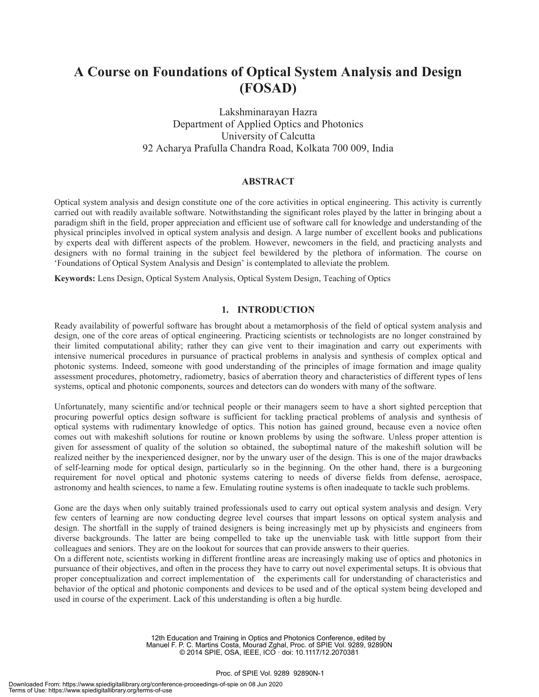### **A Course on Foundations of Optical System Analysis and Design (FOSAD)**

#### Lakshminarayan Hazra Department of Applied Optics and Photonics University of Calcutta 92 Acharya Prafulla Chandra Road, Kolkata 700 009, India

#### **ABSTRACT**

Optical system analysis and design constitute one of the core activities in optical engineering. This activity is currently carried out with readily available software. Notwithstanding the significant roles played by the latter in bringing about a paradigm shift in the field, proper appreciation and efficient use of software call for knowledge and understanding of the physical principles involved in optical system analysis and design. A large number of excellent books and publications by experts deal with different aspects of the problem. However, newcomers in the field, and practicing analysts and designers with no formal training in the subject feel bewildered by the plethora of information. The course on 'Foundations of Optical System Analysis and Design' is contemplated to alleviate the problem.

**Keywords:** Lens Design, Optical System Analysis, Optical System Design, Teaching of Optics

#### **1. INTRODUCTION**

Ready availability of powerful software has brought about a metamorphosis of the field of optical system analysis and design, one of the core areas of optical engineering. Practicing scientists or technologists are no longer constrained by their limited computational ability; rather they can give vent to their imagination and carry out experiments with intensive numerical procedures in pursuance of practical problems in analysis and synthesis of complex optical and photonic systems. Indeed, someone with good understanding of the principles of image formation and image quality assessment procedures, photometry, radiometry, basics of aberration theory and characteristics of different types of lens systems, optical and photonic components, sources and detectors can do wonders with many of the software.

Unfortunately, many scientific and/or technical people or their managers seem to have a short sighted perception that procuring powerful optics design software is sufficient for tackling practical problems of analysis and synthesis of optical systems with rudimentary knowledge of optics. This notion has gained ground, because even a novice often comes out with makeshift solutions for routine or known problems by using the software. Unless proper attention is given for assessment of quality of the solution so obtained, the suboptimal nature of the makeshift solution will be realized neither by the inexperienced designer, nor by the unwary user of the design. This is one of the major drawbacks of self-learning mode for optical design, particularly so in the beginning. On the other hand, there is a burgeoning requirement for novel optical and photonic systems catering to needs of diverse fields from defense, aerospace, astronomy and health sciences, to name a few. Emulating routine systems is often inadequate to tackle such problems.

Gone are the days when only suitably trained professionals used to carry out optical system analysis and design. Very few centers of learning are now conducting degree level courses that impart lessons on optical system analysis and design. The shortfall in the supply of trained designers is being increasingly met up by physicists and engineers from diverse backgrounds. The latter are being compelled to take up the unenviable task with little support from their colleagues and seniors. They are on the lookout for sources that can provide answers to their queries.

On a different note, scientists working in different frontline areas are increasingly making use of optics and photonics in pursuance of their objectives, and often in the process they have to carry out novel experimental setups. It is obvious that proper conceptualization and correct implementation of the experiments call for understanding of characteristics and behavior of the optical and photonic components and devices to be used and of the optical system being developed and used in course of the experiment. Lack of this understanding is often a big hurdle.

> 12th Education and Training in Optics and Photonics Conference, edited by Manuel F. P. C. Martins Costa, Mourad Zghal, Proc. of SPIE Vol. 9289, 92890N © 2014 SPIE, OSA, IEEE, ICO · doi: 10.1117/12.2070381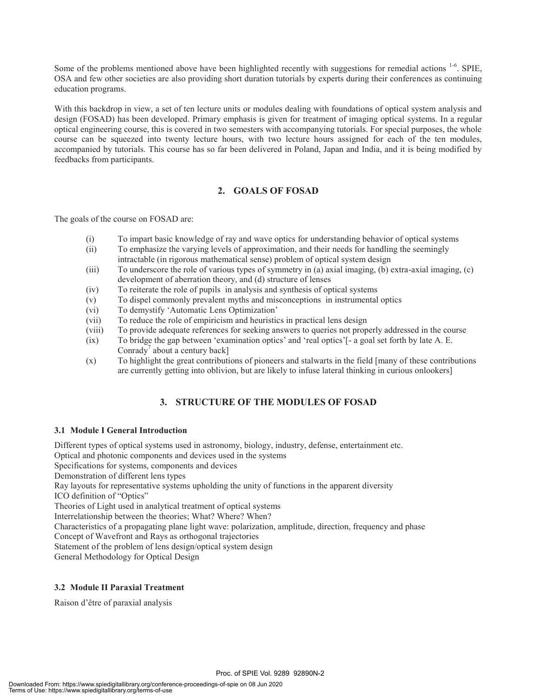Some of the problems mentioned above have been highlighted recently with suggestions for remedial actions <sup>1-6</sup>. SPIE, OSA and few other societies are also providing short duration tutorials by experts during their conferences as continuing education programs.

With this backdrop in view, a set of ten lecture units or modules dealing with foundations of optical system analysis and design (FOSAD) has been developed. Primary emphasis is given for treatment of imaging optical systems. In a regular optical engineering course, this is covered in two semesters with accompanying tutorials. For special purposes, the whole course can be squeezed into twenty lecture hours, with two lecture hours assigned for each of the ten modules, accompanied by tutorials. This course has so far been delivered in Poland, Japan and India, and it is being modified by feedbacks from participants.

#### **2. GOALS OF FOSAD**

The goals of the course on FOSAD are:

- (i) To impart basic knowledge of ray and wave optics for understanding behavior of optical systems
- (ii) To emphasize the varying levels of approximation, and their needs for handling the seemingly intractable (in rigorous mathematical sense) problem of optical system design
- (iii) To underscore the role of various types of symmetry in (a) axial imaging, (b) extra-axial imaging, (c) development of aberration theory, and (d) structure of lenses
- (iv) To reiterate the role of pupils in analysis and synthesis of optical systems
- (v) To dispel commonly prevalent myths and misconceptions in instrumental optics
- (vi) To demystify 'Automatic Lens Optimization'
- (vii) To reduce the role of empiricism and heuristics in practical lens design
- (viii) To provide adequate references for seeking answers to queries not properly addressed in the course
- (ix) To bridge the gap between 'examination optics' and 'real optics'[- a goal set forth by late A. E. Conrady<sup>7</sup> about a century back]
- (x) To highlight the great contributions of pioneers and stalwarts in the field [many of these contributions are currently getting into oblivion, but are likely to infuse lateral thinking in curious onlookers]

#### **3. STRUCTURE OF THE MODULES OF FOSAD**

#### **3.1 Module I General Introduction**

Different types of optical systems used in astronomy, biology, industry, defense, entertainment etc.

Optical and photonic components and devices used in the systems

Specifications for systems, components and devices

Demonstration of different lens types

Ray layouts for representative systems upholding the unity of functions in the apparent diversity

ICO definition of "Optics"

Theories of Light used in analytical treatment of optical systems

Interrelationship between the theories; What? Where? When?

Characteristics of a propagating plane light wave: polarization, amplitude, direction, frequency and phase

Concept of Wavefront and Rays as orthogonal trajectories

Statement of the problem of lens design/optical system design

General Methodology for Optical Design

#### **3.2 Module II Paraxial Treatment**

Raison d'être of paraxial analysis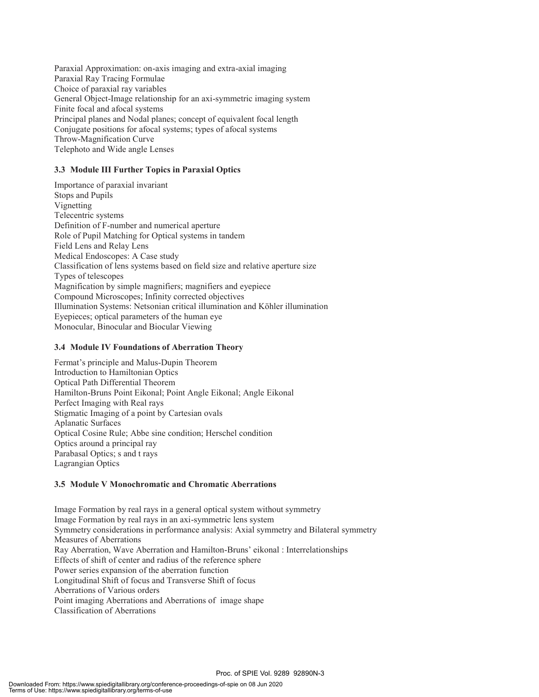Paraxial Approximation: on-axis imaging and extra-axial imaging Paraxial Ray Tracing Formulae Choice of paraxial ray variables General Object-Image relationship for an axi-symmetric imaging system Finite focal and afocal systems Principal planes and Nodal planes; concept of equivalent focal length Conjugate positions for afocal systems; types of afocal systems Throw-Magnification Curve Telephoto and Wide angle Lenses

#### **3.3 Module III Further Topics in Paraxial Optics**

Importance of paraxial invariant Stops and Pupils Vignetting Telecentric systems Definition of F-number and numerical aperture Role of Pupil Matching for Optical systems in tandem Field Lens and Relay Lens Medical Endoscopes: A Case study Classification of lens systems based on field size and relative aperture size Types of telescopes Magnification by simple magnifiers; magnifiers and eyepiece Compound Microscopes; Infinity corrected objectives Illumination Systems: Netsonian critical illumination and Köhler illumination Eyepieces; optical parameters of the human eye Monocular, Binocular and Biocular Viewing

#### **3.4 Module IV Foundations of Aberration Theory**

Fermat's principle and Malus-Dupin Theorem Introduction to Hamiltonian Optics Optical Path Differential Theorem Hamilton-Bruns Point Eikonal; Point Angle Eikonal; Angle Eikonal Perfect Imaging with Real rays Stigmatic Imaging of a point by Cartesian ovals Aplanatic Surfaces Optical Cosine Rule; Abbe sine condition; Herschel condition Optics around a principal ray Parabasal Optics; s and t rays Lagrangian Optics

#### **3.5 Module V Monochromatic and Chromatic Aberrations**

Image Formation by real rays in a general optical system without symmetry Image Formation by real rays in an axi-symmetric lens system Symmetry considerations in performance analysis: Axial symmetry and Bilateral symmetry Measures of Aberrations Ray Aberration, Wave Aberration and Hamilton-Bruns' eikonal : Interrelationships Effects of shift of center and radius of the reference sphere Power series expansion of the aberration function Longitudinal Shift of focus and Transverse Shift of focus Aberrations of Various orders Point imaging Aberrations and Aberrations of image shape Classification of Aberrations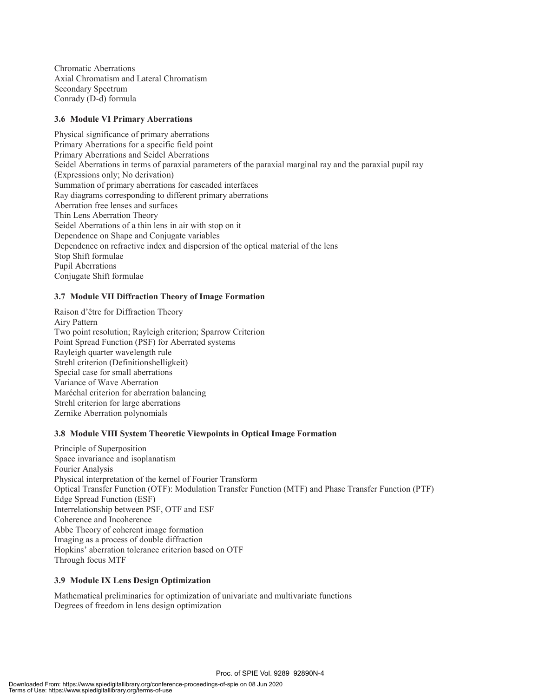Chromatic Aberrations Axial Chromatism and Lateral Chromatism Secondary Spectrum Conrady (D-d) formula

#### **3.6 Module VI Primary Aberrations**

Physical significance of primary aberrations Primary Aberrations for a specific field point Primary Aberrations and Seidel Aberrations Seidel Aberrations in terms of paraxial parameters of the paraxial marginal ray and the paraxial pupil ray (Expressions only; No derivation) Summation of primary aberrations for cascaded interfaces Ray diagrams corresponding to different primary aberrations Aberration free lenses and surfaces Thin Lens Aberration Theory Seidel Aberrations of a thin lens in air with stop on it Dependence on Shape and Conjugate variables Dependence on refractive index and dispersion of the optical material of the lens Stop Shift formulae Pupil Aberrations Conjugate Shift formulae

#### **3.7 Module VII Diffraction Theory of Image Formation**

Raison d'être for Diffraction Theory Airy Pattern Two point resolution; Rayleigh criterion; Sparrow Criterion Point Spread Function (PSF) for Aberrated systems Rayleigh quarter wavelength rule Strehl criterion (Definitionshelligkeit) Special case for small aberrations Variance of Wave Aberration Maréchal criterion for aberration balancing Strehl criterion for large aberrations Zernike Aberration polynomials

#### **3.8 Module VIII System Theoretic Viewpoints in Optical Image Formation**

Principle of Superposition Space invariance and isoplanatism Fourier Analysis Physical interpretation of the kernel of Fourier Transform Optical Transfer Function (OTF): Modulation Transfer Function (MTF) and Phase Transfer Function (PTF) Edge Spread Function (ESF) Interrelationship between PSF, OTF and ESF Coherence and Incoherence Abbe Theory of coherent image formation Imaging as a process of double diffraction Hopkins' aberration tolerance criterion based on OTF Through focus MTF

#### **3.9 Module IX Lens Design Optimization**

Mathematical preliminaries for optimization of univariate and multivariate functions Degrees of freedom in lens design optimization